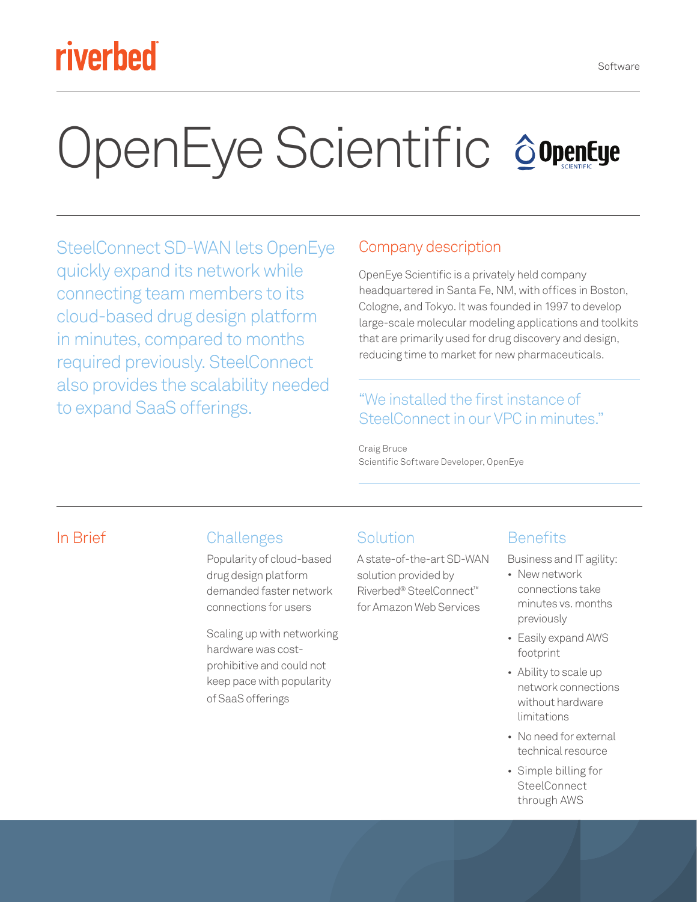## riverbed

# OpenEye Scientific SopenEye

SteelConnect SD-WAN lets OpenEye quickly expand its network while connecting team members to its cloud-based drug design platform in minutes, compared to months required previously. SteelConnect also provides the scalability needed to expand SaaS offerings.

#### Company description

OpenEye Scientific is a privately held company headquartered in Santa Fe, NM, with offices in Boston, Cologne, and Tokyo. It was founded in 1997 to develop large-scale molecular modeling applications and toolkits that are primarily used for drug discovery and design, reducing time to market for new pharmaceuticals.

#### "We installed the first instance of SteelConnect in our VPC in minutes."

Craig Bruce Scientific Software Developer, OpenEye

#### In Brief Challenges

Popularity of cloud-based drug design platform demanded faster network connections for users

Scaling up with networking hardware was costprohibitive and could not keep pace with popularity of SaaS offerings

#### Solution

A state-of-the-art SD-WAN solution provided by Riverbed® SteelConnect™ for Amazon Web Services

#### **Benefits**

Business and IT agility:

- New network connections take minutes vs. months previously
- Easily expand AWS footprint
- Ability to scale up network connections without hardware limitations
- No need for external technical resource
- Simple billing for **SteelConnect** through AWS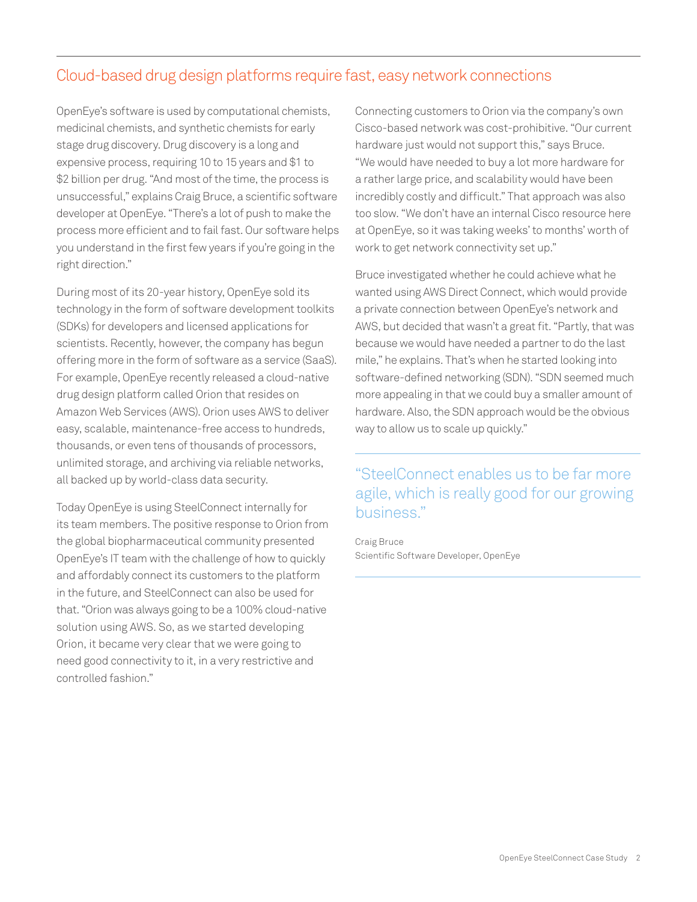#### Cloud-based drug design platforms require fast, easy network connections

OpenEye's software is used by computational chemists, medicinal chemists, and synthetic chemists for early stage drug discovery. Drug discovery is a long and expensive process, requiring 10 to 15 years and \$1 to \$2 billion per drug. "And most of the time, the process is unsuccessful," explains Craig Bruce, a scientific software developer at OpenEye. "There's a lot of push to make the process more efficient and to fail fast. Our software helps you understand in the first few years if you're going in the right direction."

During most of its 20-year history, OpenEye sold its technology in the form of software development toolkits (SDKs) for developers and licensed applications for scientists. Recently, however, the company has begun offering more in the form of software as a service (SaaS). For example, OpenEye recently released a cloud-native drug design platform called Orion that resides on Amazon Web Services (AWS). Orion uses AWS to deliver easy, scalable, maintenance-free access to hundreds, thousands, or even tens of thousands of processors, unlimited storage, and archiving via reliable networks, all backed up by world-class data security.

Today OpenEye is using SteelConnect internally for its team members. The positive response to Orion from the global biopharmaceutical community presented OpenEye's IT team with the challenge of how to quickly and affordably connect its customers to the platform in the future, and SteelConnect can also be used for that. "Orion was always going to be a 100% cloud-native solution using AWS. So, as we started developing Orion, it became very clear that we were going to need good connectivity to it, in a very restrictive and controlled fashion."

Connecting customers to Orion via the company's own Cisco-based network was cost-prohibitive. "Our current hardware just would not support this," says Bruce. "We would have needed to buy a lot more hardware for a rather large price, and scalability would have been incredibly costly and difficult." That approach was also too slow. "We don't have an internal Cisco resource here at OpenEye, so it was taking weeks' to months' worth of work to get network connectivity set up."

Bruce investigated whether he could achieve what he wanted using AWS Direct Connect, which would provide a private connection between OpenEye's network and AWS, but decided that wasn't a great fit. "Partly, that was because we would have needed a partner to do the last mile," he explains. That's when he started looking into software-defined networking (SDN). "SDN seemed much more appealing in that we could buy a smaller amount of hardware. Also, the SDN approach would be the obvious way to allow us to scale up quickly."

"SteelConnect enables us to be far more agile, which is really good for our growing business."

Craig Bruce Scientific Software Developer, OpenEye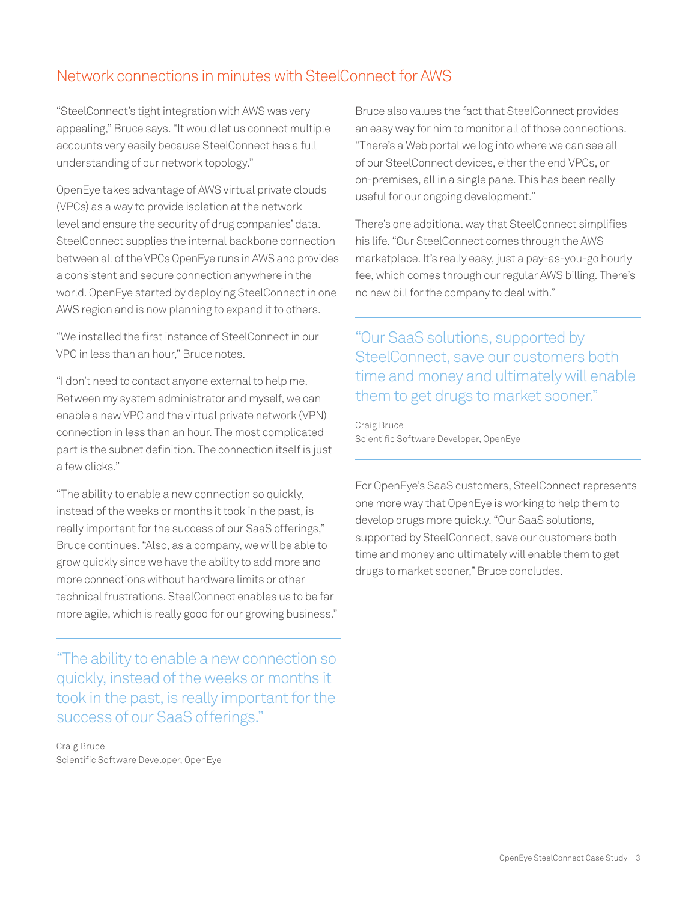#### Network connections in minutes with SteelConnect for AWS

"SteelConnect's tight integration with AWS was very appealing," Bruce says. "It would let us connect multiple accounts very easily because SteelConnect has a full understanding of our network topology."

OpenEye takes advantage of AWS virtual private clouds (VPCs) as a way to provide isolation at the network level and ensure the security of drug companies' data. SteelConnect supplies the internal backbone connection between all of the VPCs OpenEye runs in AWS and provides a consistent and secure connection anywhere in the world. OpenEye started by deploying SteelConnect in one AWS region and is now planning to expand it to others.

"We installed the first instance of SteelConnect in our VPC in less than an hour," Bruce notes.

"I don't need to contact anyone external to help me. Between my system administrator and myself, we can enable a new VPC and the virtual private network (VPN) connection in less than an hour. The most complicated part is the subnet definition. The connection itself is just a few clicks."

"The ability to enable a new connection so quickly, instead of the weeks or months it took in the past, is really important for the success of our SaaS offerings," Bruce continues. "Also, as a company, we will be able to grow quickly since we have the ability to add more and more connections without hardware limits or other technical frustrations. SteelConnect enables us to be far more agile, which is really good for our growing business."

"The ability to enable a new connection so quickly, instead of the weeks or months it took in the past, is really important for the success of our SaaS offerings."

Craig Bruce Scientific Software Developer, OpenEye Bruce also values the fact that SteelConnect provides an easy way for him to monitor all of those connections. "There's a Web portal we log into where we can see all of our SteelConnect devices, either the end VPCs, or on-premises, all in a single pane. This has been really useful for our ongoing development."

There's one additional way that SteelConnect simplifies his life. "Our SteelConnect comes through the AWS marketplace. It's really easy, just a pay-as-you-go hourly fee, which comes through our regular AWS billing. There's no new bill for the company to deal with."

"Our SaaS solutions, supported by SteelConnect, save our customers both time and money and ultimately will enable them to get drugs to market sooner."

Craig Bruce Scientific Software Developer, OpenEye

For OpenEye's SaaS customers, SteelConnect represents one more way that OpenEye is working to help them to develop drugs more quickly. "Our SaaS solutions, supported by SteelConnect, save our customers both time and money and ultimately will enable them to get drugs to market sooner," Bruce concludes.